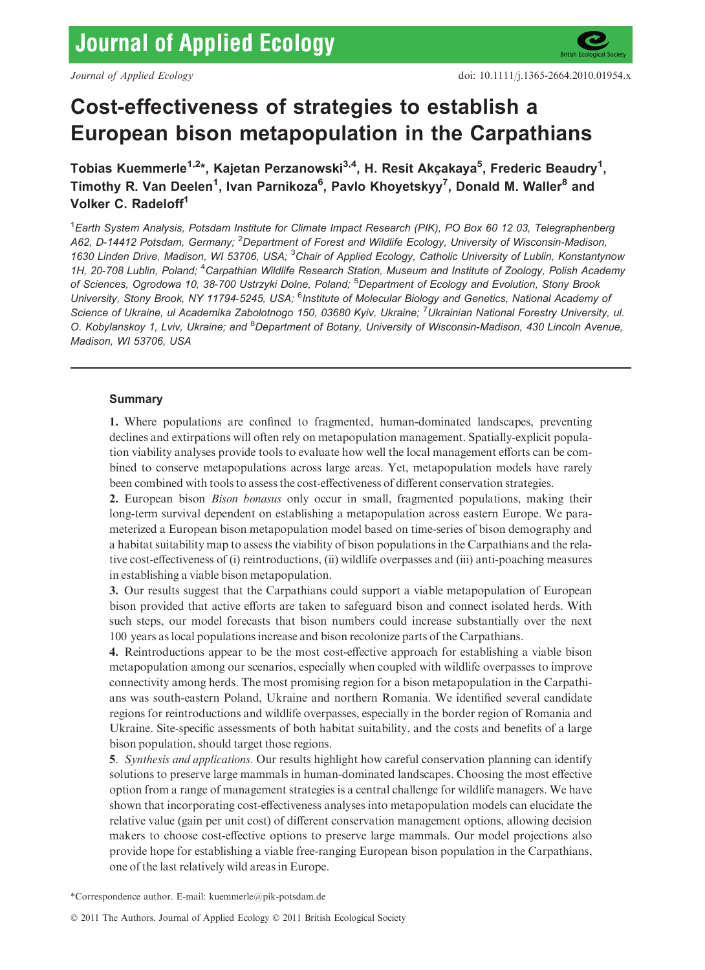# Cost-effectiveness of strategies to establish a European bison metapopulation in the Carpathians

Tobias Kuemmerle<sup>1,2</sup>\*, Kajetan Perzanowski<sup>3,4</sup>, H. Resit Akçakaya<sup>5</sup>, Frederic Beaudry<sup>1</sup>, Timothy R. Van Deelen<sup>1</sup>, Ivan Parnikoza<sup>6</sup>, Pavlo Khoyetskyy<sup>7</sup>, Donald M. Waller<sup>8</sup> and Volker C. Radeloff<sup>1</sup>

<sup>1</sup>Earth System Analysis, Potsdam Institute for Climate Impact Research (PIK), PO Box 60 12 03, Telegraphenberg A62, D-14412 Potsdam, Germany; <sup>2</sup>Department of Forest and Wildlife Ecology, University of Wisconsin-Madison, 1630 Linden Drive, Madison, WI 53706, USA; <sup>3</sup>Chair of Applied Ecology, Catholic University of Lublin, Konstantynow 1H, 20-708 Lublin, Poland; <sup>4</sup>Carpathian Wildlife Research Station, Museum and Institute of Zoology, Polish Academy of Sciences, Ogrodowa 10, 38-700 Ustrzyki Dolne, Poland; <sup>5</sup>Department of Ecology and Evolution, Stony Brook University, Stony Brook, NY 11794-5245, USA; <sup>6</sup>Institute of Molecular Biology and Genetics, National Academy ot Science of Ukraine, ul Academika Zabolotnogo 150, 03680 Kyiv, Ukraine; <sup>7</sup>Ukrainian National Forestry University, ul. O. Kobylanskoy 1, Lviv, Ukraine; and <sup>8</sup>Department of Botany, University of Wisconsin-Madison, 430 Lincoln Avenue, Madison, WI 53706, USA

# Summary

1. Where populations are confined to fragmented, human-dominated landscapes, preventing declines and extirpations will often rely on metapopulation management. Spatially-explicit population viability analyses provide tools to evaluate how well the local management efforts can be combined to conserve metapopulations across large areas. Yet, metapopulation models have rarely been combined with tools to assess the cost-effectiveness of different conservation strategies.

2. European bison Bison bonasus only occur in small, fragmented populations, making their long-term survival dependent on establishing a metapopulation across eastern Europe. We parameterized a European bison metapopulation model based on time-series of bison demography and a habitat suitability map to assess the viability of bison populations in the Carpathians and the relative cost-effectiveness of (i) reintroductions, (ii) wildlife overpasses and (iii) anti-poaching measures in establishing a viable bison metapopulation.

3. Our results suggest that the Carpathians could support a viable metapopulation of European bison provided that active efforts are taken to safeguard bison and connect isolated herds. With such steps, our model forecasts that bison numbers could increase substantially over the next 100 years as local populations increase and bison recolonize parts of the Carpathians.

4. Reintroductions appear to be the most cost-effective approach for establishing a viable bison metapopulation among our scenarios, especially when coupled with wildlife overpasses to improve connectivity among herds. The most promising region for a bison metapopulation in the Carpathians was south-eastern Poland, Ukraine and northern Romania. We identified several candidate regions for reintroductions and wildlife overpasses, especially in the border region of Romania and Ukraine. Site-specific assessments of both habitat suitability, and the costs and benefits of a large bison population, should target those regions.

5. Synthesis and applications. Our results highlight how careful conservation planning can identify solutions to preserve large mammals in human-dominated landscapes. Choosing the most effective option from a range of management strategies is a central challenge for wildlife managers. We have shown that incorporating cost-effectiveness analyses into metapopulation models can elucidate the relative value (gain per unit cost) of different conservation management options, allowing decision makers to choose cost-effective options to preserve large mammals. Our model projections also provide hope for establishing a viable free-ranging European bison population in the Carpathians, one of the last relatively wild areas in Europe.

<sup>\*</sup>Correspondence author. E-mail: kuemmerle@pik-potsdam.de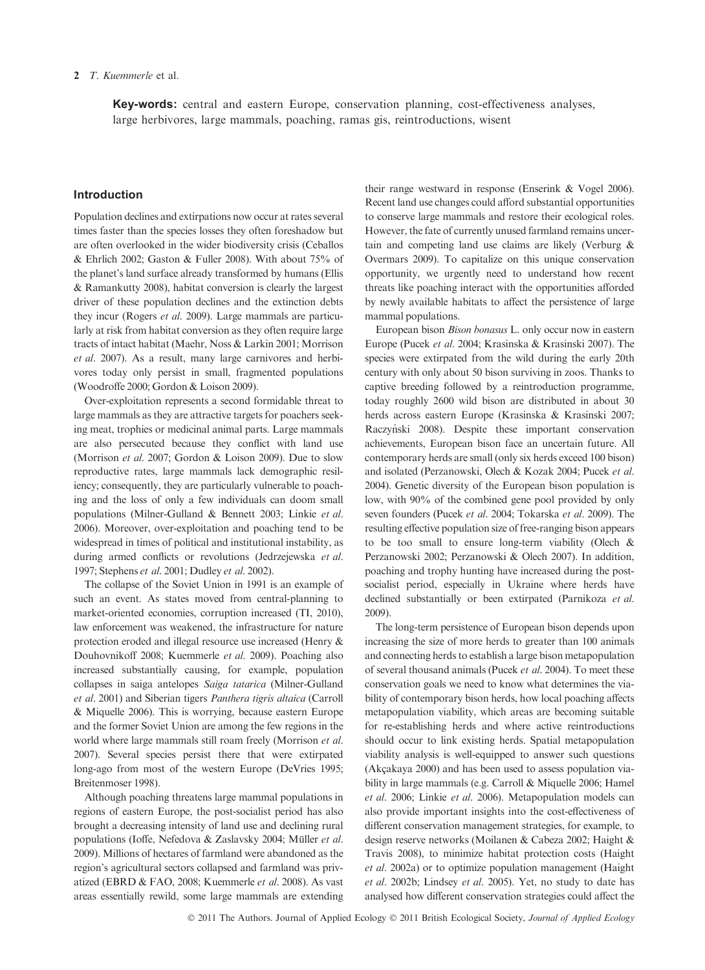Key-words: central and eastern Europe, conservation planning, cost-effectiveness analyses, large herbivores, large mammals, poaching, ramas gis, reintroductions, wisent

## Introduction

Population declines and extirpations now occur at rates several times faster than the species losses they often foreshadow but are often overlooked in the wider biodiversity crisis (Ceballos & Ehrlich 2002; Gaston & Fuller 2008). With about 75% of the planet's land surface already transformed by humans (Ellis & Ramankutty 2008), habitat conversion is clearly the largest driver of these population declines and the extinction debts they incur (Rogers et al. 2009). Large mammals are particularly at risk from habitat conversion as they often require large tracts of intact habitat (Maehr, Noss & Larkin 2001; Morrison et al. 2007). As a result, many large carnivores and herbivores today only persist in small, fragmented populations (Woodroffe 2000; Gordon & Loison 2009).

Over-exploitation represents a second formidable threat to large mammals as they are attractive targets for poachers seeking meat, trophies or medicinal animal parts. Large mammals are also persecuted because they conflict with land use (Morrison et al. 2007; Gordon & Loison 2009). Due to slow reproductive rates, large mammals lack demographic resiliency; consequently, they are particularly vulnerable to poaching and the loss of only a few individuals can doom small populations (Milner-Gulland & Bennett 2003; Linkie et al. 2006). Moreover, over-exploitation and poaching tend to be widespread in times of political and institutional instability, as during armed conflicts or revolutions (Jedrzejewska et al. 1997; Stephens et al. 2001; Dudley et al. 2002).

The collapse of the Soviet Union in 1991 is an example of such an event. As states moved from central-planning to market-oriented economies, corruption increased (TI, 2010), law enforcement was weakened, the infrastructure for nature protection eroded and illegal resource use increased (Henry & Douhovnikoff 2008; Kuemmerle et al. 2009). Poaching also increased substantially causing, for example, population collapses in saiga antelopes Saiga tatarica (Milner-Gulland et al. 2001) and Siberian tigers Panthera tigris altaica (Carroll & Miquelle 2006). This is worrying, because eastern Europe and the former Soviet Union are among the few regions in the world where large mammals still roam freely (Morrison et al. 2007). Several species persist there that were extirpated long-ago from most of the western Europe (DeVries 1995; Breitenmoser 1998).

Although poaching threatens large mammal populations in regions of eastern Europe, the post-socialist period has also brought a decreasing intensity of land use and declining rural populations (Ioffe, Nefedova & Zaslavsky 2004; Müller et al. 2009). Millions of hectares of farmland were abandoned as the region's agricultural sectors collapsed and farmland was privatized (EBRD & FAO, 2008; Kuemmerle et al. 2008). As vast areas essentially rewild, some large mammals are extending their range westward in response (Enserink & Vogel 2006). Recent land use changes could afford substantial opportunities to conserve large mammals and restore their ecological roles. However, the fate of currently unused farmland remains uncertain and competing land use claims are likely (Verburg & Overmars 2009). To capitalize on this unique conservation opportunity, we urgently need to understand how recent threats like poaching interact with the opportunities afforded by newly available habitats to affect the persistence of large mammal populations.

European bison Bison bonasus L. only occur now in eastern Europe (Pucek et al. 2004; Krasinska & Krasinski 2007). The species were extirpated from the wild during the early 20th century with only about 50 bison surviving in zoos. Thanks to captive breeding followed by a reintroduction programme, today roughly 2600 wild bison are distributed in about 30 herds across eastern Europe (Krasinska & Krasinski 2007; Raczyński 2008). Despite these important conservation achievements, European bison face an uncertain future. All contemporary herds are small (only six herds exceed 100 bison) and isolated (Perzanowski, Olech & Kozak 2004; Pucek et al. 2004). Genetic diversity of the European bison population is low, with 90% of the combined gene pool provided by only seven founders (Pucek et al. 2004; Tokarska et al. 2009). The resulting effective population size of free-ranging bison appears to be too small to ensure long-term viability (Olech & Perzanowski 2002; Perzanowski & Olech 2007). In addition, poaching and trophy hunting have increased during the postsocialist period, especially in Ukraine where herds have declined substantially or been extirpated (Parnikoza et al. 2009).

The long-term persistence of European bison depends upon increasing the size of more herds to greater than 100 animals and connecting herds to establish a large bison metapopulation of several thousand animals (Pucek et al. 2004). To meet these conservation goals we need to know what determines the viability of contemporary bison herds, how local poaching affects metapopulation viability, which areas are becoming suitable for re-establishing herds and where active reintroductions should occur to link existing herds. Spatial metapopulation viability analysis is well-equipped to answer such questions (Akçakaya 2000) and has been used to assess population viability in large mammals (e.g. Carroll & Miquelle 2006; Hamel et al. 2006; Linkie et al. 2006). Metapopulation models can also provide important insights into the cost-effectiveness of different conservation management strategies, for example, to design reserve networks (Moilanen & Cabeza 2002; Haight & Travis 2008), to minimize habitat protection costs (Haight et al. 2002a) or to optimize population management (Haight et al. 2002b; Lindsey et al. 2005). Yet, no study to date has analysed how different conservation strategies could affect the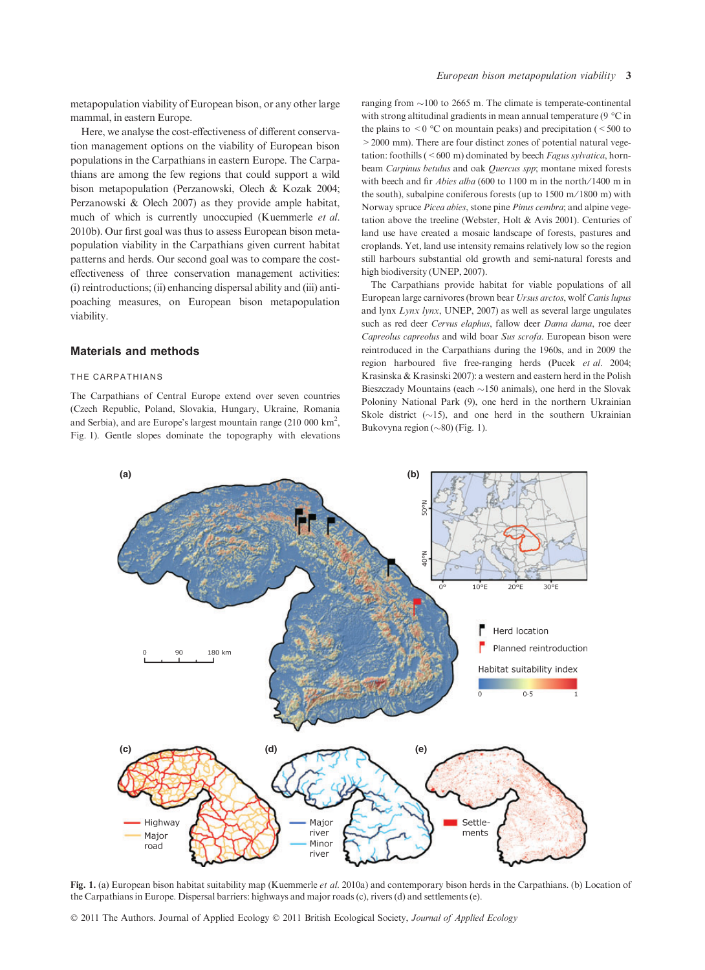metapopulation viability of European bison, or any other large mammal, in eastern Europe.

Here, we analyse the cost-effectiveness of different conservation management options on the viability of European bison populations in the Carpathians in eastern Europe. The Carpathians are among the few regions that could support a wild bison metapopulation (Perzanowski, Olech & Kozak 2004; Perzanowski & Olech 2007) as they provide ample habitat, much of which is currently unoccupied (Kuemmerle et al. 2010b). Our first goal was thus to assess European bison metapopulation viability in the Carpathians given current habitat patterns and herds. Our second goal was to compare the costeffectiveness of three conservation management activities: (i) reintroductions; (ii) enhancing dispersal ability and (iii) antipoaching measures, on European bison metapopulation viability.

## Materials and methods

## THE CARPATHIANS

The Carpathians of Central Europe extend over seven countries (Czech Republic, Poland, Slovakia, Hungary, Ukraine, Romania and Serbia), and are Europe's largest mountain range  $(210\ 000\ km^2,$ Fig. 1). Gentle slopes dominate the topography with elevations

ranging from  $\sim$ 100 to 2665 m. The climate is temperate-continental with strong altitudinal gradients in mean annual temperature ( $9^{\circ}$ C in the plains to  $\leq 0$  °C on mountain peaks) and precipitation ( $\leq 500$  to >2000 mm). There are four distinct zones of potential natural vegetation: foothills ( $\leq 600$  m) dominated by beech *Fagus sylvatica*, hornbeam Carpinus betulus and oak Quercus spp; montane mixed forests with beech and fir *Abies alba* (600 to 1100 m in the north/1400 m in the south), subalpine coniferous forests (up to  $1500 \text{ m}/1800 \text{ m}$ ) with Norway spruce Picea abies, stone pine Pinus cembra; and alpine vegetation above the treeline (Webster, Holt & Avis 2001). Centuries of land use have created a mosaic landscape of forests, pastures and croplands. Yet, land use intensity remains relatively low so the region still harbours substantial old growth and semi-natural forests and high biodiversity (UNEP, 2007).

The Carpathians provide habitat for viable populations of all European large carnivores (brown bear Ursus arctos, wolf Canis lupus and lynx Lynx lynx, UNEP, 2007) as well as several large ungulates such as red deer Cervus elaphus, fallow deer Dama dama, roe deer Capreolus capreolus and wild boar Sus scrofa. European bison were reintroduced in the Carpathians during the 1960s, and in 2009 the region harboured five free-ranging herds (Pucek et al. 2004; Krasinska & Krasinski 2007): a western and eastern herd in the Polish Bieszczady Mountains (each  $\sim$ 150 animals), one herd in the Slovak Poloniny National Park (9), one herd in the northern Ukrainian Skole district  $(\sim 15)$ , and one herd in the southern Ukrainian Bukovyna region  $(\sim 80)$  (Fig. 1).



Fig. 1. (a) European bison habitat suitability map (Kuemmerle et al. 2010a) and contemporary bison herds in the Carpathians. (b) Location of the Carpathians in Europe. Dispersal barriers: highways and major roads (c), rivers (d) and settlements (e).

© 2011 The Authors. Journal of Applied Ecology © 2011 British Ecological Society, Journal of Applied Ecology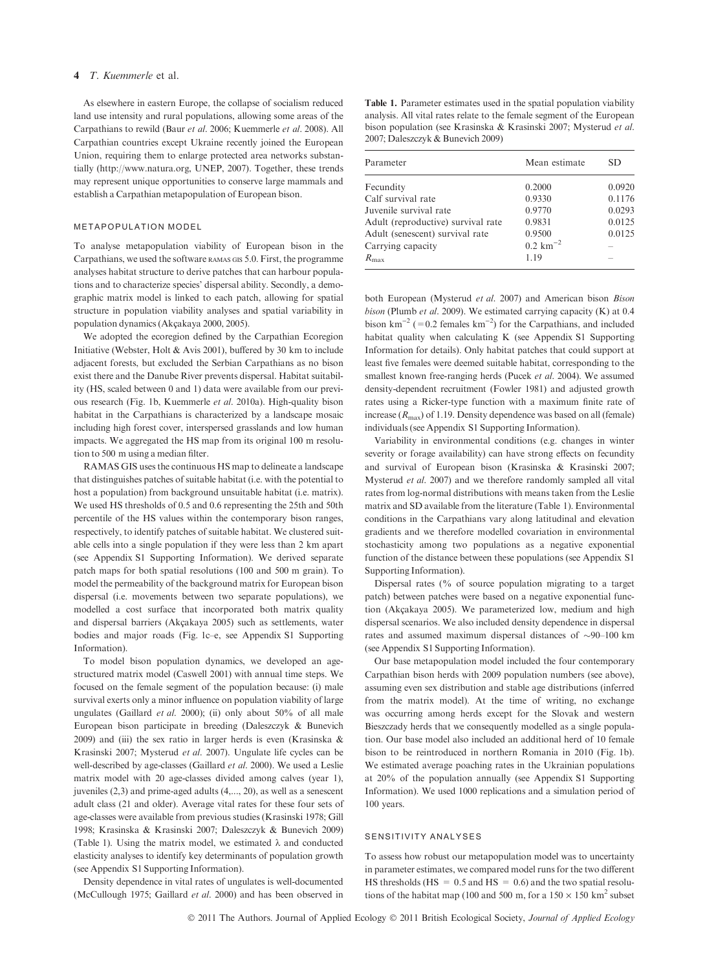As elsewhere in eastern Europe, the collapse of socialism reduced land use intensity and rural populations, allowing some areas of the Carpathians to rewild (Baur et al. 2006; Kuemmerle et al. 2008). All Carpathian countries except Ukraine recently joined the European Union, requiring them to enlarge protected area networks substantially (http://www.natura.org, UNEP, 2007). Together, these trends may represent unique opportunities to conserve large mammals and establish a Carpathian metapopulation of European bison.

#### METAPOPULATION MODEL

To analyse metapopulation viability of European bison in the Carpathians, we used the software ramas gis 5.0. First, the programme analyses habitat structure to derive patches that can harbour populations and to characterize species' dispersal ability. Secondly, a demographic matrix model is linked to each patch, allowing for spatial structure in population viability analyses and spatial variability in population dynamics (Akçakaya 2000, 2005).

We adopted the ecoregion defined by the Carpathian Ecoregion Initiative (Webster, Holt & Avis 2001), buffered by 30 km to include adjacent forests, but excluded the Serbian Carpathians as no bison exist there and the Danube River prevents dispersal. Habitat suitability (HS, scaled between 0 and 1) data were available from our previous research (Fig. 1b, Kuemmerle et al. 2010a). High-quality bison habitat in the Carpathians is characterized by a landscape mosaic including high forest cover, interspersed grasslands and low human impacts. We aggregated the HS map from its original 100 m resolution to 500 m using a median filter.

RAMAS GIS uses the continuous HS map to delineate a landscape that distinguishes patches of suitable habitat (i.e. with the potential to host a population) from background unsuitable habitat (i.e. matrix). We used HS thresholds of 0.5 and 0.6 representing the 25th and 50th percentile of the HS values within the contemporary bison ranges, respectively, to identify patches of suitable habitat. We clustered suitable cells into a single population if they were less than 2 km apart (see Appendix S1 Supporting Information). We derived separate patch maps for both spatial resolutions (100 and 500 m grain). To model the permeability of the background matrix for European bison dispersal (i.e. movements between two separate populations), we modelled a cost surface that incorporated both matrix quality and dispersal barriers (Akçakaya 2005) such as settlements, water bodies and major roads (Fig. 1c–e, see Appendix S1 Supporting Information).

To model bison population dynamics, we developed an agestructured matrix model (Caswell 2001) with annual time steps. We focused on the female segment of the population because: (i) male survival exerts only a minor influence on population viability of large ungulates (Gaillard et al. 2000); (ii) only about 50% of all male European bison participate in breeding (Daleszczyk & Bunevich 2009) and (iii) the sex ratio in larger herds is even (Krasinska & Krasinski 2007; Mysterud et al. 2007). Ungulate life cycles can be well-described by age-classes (Gaillard et al. 2000). We used a Leslie matrix model with 20 age-classes divided among calves (year 1), juveniles (2,3) and prime-aged adults (4,..., 20), as well as a senescent adult class (21 and older). Average vital rates for these four sets of age-classes were available from previous studies (Krasinski 1978; Gill 1998; Krasinska & Krasinski 2007; Daleszczyk & Bunevich 2009) (Table 1). Using the matrix model, we estimated  $\lambda$  and conducted elasticity analyses to identify key determinants of population growth (see Appendix S1 Supporting Information).

Density dependence in vital rates of ungulates is well-documented (McCullough 1975; Gaillard et al. 2000) and has been observed in

Table 1. Parameter estimates used in the spatial population viability analysis. All vital rates relate to the female segment of the European bison population (see Krasinska & Krasinski 2007; Mysterud et al. 2007; Daleszczyk & Bunevich 2009)

| Parameter                          | Mean estimate         | <b>SD</b> |
|------------------------------------|-----------------------|-----------|
| Fecundity                          | 0.2000                | 0.0920    |
| Calf survival rate                 | 0.9330                | 0.1176    |
| Juvenile survival rate             | 0.9770                | 0.0293    |
| Adult (reproductive) survival rate | 0.9831                | 0.0125    |
| Adult (senescent) survival rate    | 0.9500                | 0.0125    |
| Carrying capacity                  | $0.2 \text{ km}^{-2}$ |           |
| $R_{\text{max}}$                   | 1.19                  |           |

both European (Mysterud et al. 2007) and American bison Bison bison (Plumb et al. 2009). We estimated carrying capacity (K) at  $0.4$ bison  $km^{-2}$  (=0.2 females  $km^{-2}$ ) for the Carpathians, and included habitat quality when calculating K (see Appendix S1 Supporting Information for details). Only habitat patches that could support at least five females were deemed suitable habitat, corresponding to the smallest known free-ranging herds (Pucek et al. 2004). We assumed density-dependent recruitment (Fowler 1981) and adjusted growth rates using a Ricker-type function with a maximum finite rate of increase  $(R_{\text{max}})$  of 1.19. Density dependence was based on all (female) individuals (see Appendix S1 Supporting Information).

Variability in environmental conditions (e.g. changes in winter severity or forage availability) can have strong effects on fecundity and survival of European bison (Krasinska & Krasinski 2007; Mysterud et al. 2007) and we therefore randomly sampled all vital rates from log-normal distributions with means taken from the Leslie matrix and SD available from the literature (Table 1). Environmental conditions in the Carpathians vary along latitudinal and elevation gradients and we therefore modelled covariation in environmental stochasticity among two populations as a negative exponential function of the distance between these populations (see Appendix S1 Supporting Information).

Dispersal rates (% of source population migrating to a target patch) between patches were based on a negative exponential function (Akçakaya 2005). We parameterized low, medium and high dispersal scenarios. We also included density dependence in dispersal rates and assumed maximum dispersal distances of  $\sim 90-100$  km (see Appendix S1 Supporting Information).

Our base metapopulation model included the four contemporary Carpathian bison herds with 2009 population numbers (see above), assuming even sex distribution and stable age distributions (inferred from the matrix model). At the time of writing, no exchange was occurring among herds except for the Slovak and western Bieszczady herds that we consequently modelled as a single population. Our base model also included an additional herd of 10 female bison to be reintroduced in northern Romania in 2010 (Fig. 1b). We estimated average poaching rates in the Ukrainian populations at 20% of the population annually (see Appendix S1 Supporting Information). We used 1000 replications and a simulation period of 100 years.

#### SENSITIVITY ANALYSES

To assess how robust our metapopulation model was to uncertainty in parameter estimates, we compared model runs for the two different HS thresholds ( $HS = 0.5$  and  $HS = 0.6$ ) and the two spatial resolutions of the habitat map (100 and 500 m, for a  $150 \times 150$  km<sup>2</sup> subset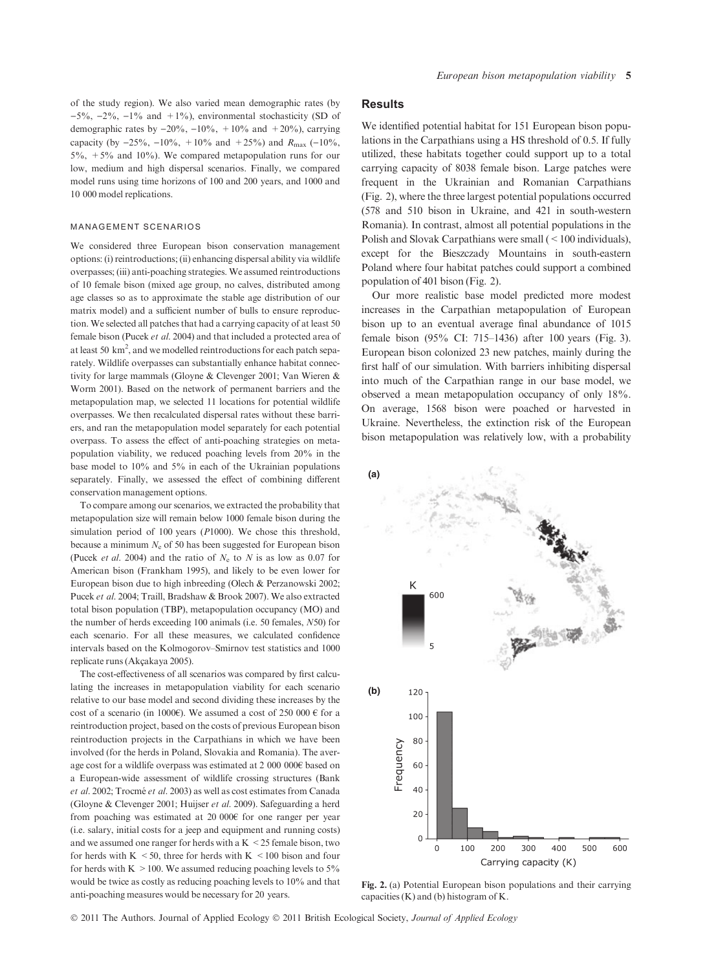of the study region). We also varied mean demographic rates (by  $-5\%$ ,  $-2\%$ ,  $-1\%$  and  $+1\%$ ), environmental stochasticity (SD of demographic rates by  $-20\%$ ,  $-10\%$ ,  $+10\%$  and  $+20\%$ ), carrying capacity (by  $-25\%$ ,  $-10\%$ ,  $+10\%$  and  $+25\%$ ) and  $R_{\text{max}}$  ( $-10\%$ ).  $5\%$ ,  $+5\%$  and  $10\%$ ). We compared metapopulation runs for our low, medium and high dispersal scenarios. Finally, we compared model runs using time horizons of 100 and 200 years, and 1000 and 10 000 model replications.

### MANAGEMENT SCENARIOS

We considered three European bison conservation management options: (i) reintroductions; (ii) enhancing dispersal ability via wildlife overpasses; (iii) anti-poaching strategies. We assumed reintroductions of 10 female bison (mixed age group, no calves, distributed among age classes so as to approximate the stable age distribution of our matrix model) and a sufficient number of bulls to ensure reproduction. We selected all patches that had a carrying capacity of at least 50 female bison (Pucek et al. 2004) and that included a protected area of at least 50 km<sup>2</sup>, and we modelled reintroductions for each patch separately. Wildlife overpasses can substantially enhance habitat connectivity for large mammals (Gloyne & Clevenger 2001; Van Wieren & Worm 2001). Based on the network of permanent barriers and the metapopulation map, we selected 11 locations for potential wildlife overpasses. We then recalculated dispersal rates without these barriers, and ran the metapopulation model separately for each potential overpass. To assess the effect of anti-poaching strategies on metapopulation viability, we reduced poaching levels from 20% in the base model to 10% and 5% in each of the Ukrainian populations separately. Finally, we assessed the effect of combining different conservation management options.

To compare among our scenarios, we extracted the probability that metapopulation size will remain below 1000 female bison during the simulation period of 100 years (P1000). We chose this threshold, because a minimum  $N<sub>e</sub>$  of 50 has been suggested for European bison (Pucek *et al.* 2004) and the ratio of  $N_e$  to N is as low as 0.07 for American bison (Frankham 1995), and likely to be even lower for European bison due to high inbreeding (Olech & Perzanowski 2002; Pucek et al. 2004; Traill, Bradshaw & Brook 2007). We also extracted total bison population (TBP), metapopulation occupancy (MO) and the number of herds exceeding 100 animals (i.e. 50 females, N50) for each scenario. For all these measures, we calculated confidence intervals based on the Kolmogorov–Smirnov test statistics and 1000 replicate runs (Akçakaya 2005).

The cost-effectiveness of all scenarios was compared by first calculating the increases in metapopulation viability for each scenario relative to our base model and second dividing these increases by the cost of a scenario (in 1000€). We assumed a cost of 250 000 € for a reintroduction project, based on the costs of previous European bison reintroduction projects in the Carpathians in which we have been involved (for the herds in Poland, Slovakia and Romania). The average cost for a wildlife overpass was estimated at 2 000 000€ based on a European-wide assessment of wildlife crossing structures (Bank et al. 2002; Trocmé et al. 2003) as well as cost estimates from Canada (Gloyne & Clevenger 2001; Huijser et al. 2009). Safeguarding a herd from poaching was estimated at 20 000€ for one ranger per year (i.e. salary, initial costs for a jeep and equipment and running costs) and we assumed one ranger for herds with a  $K < 25$  female bison, two for herds with K  $\leq$  50, three for herds with K  $\leq$  100 bison and four for herds with  $K > 100$ . We assumed reducing poaching levels to 5% would be twice as costly as reducing poaching levels to 10% and that anti-poaching measures would be necessary for 20 years.

#### **Results**

We identified potential habitat for 151 European bison populations in the Carpathians using a HS threshold of 0.5. If fully utilized, these habitats together could support up to a total carrying capacity of 8038 female bison. Large patches were frequent in the Ukrainian and Romanian Carpathians (Fig. 2), where the three largest potential populations occurred (578 and 510 bison in Ukraine, and 421 in south-western Romania). In contrast, almost all potential populations in the Polish and Slovak Carpathians were small (<100 individuals), except for the Bieszczady Mountains in south-eastern Poland where four habitat patches could support a combined population of 401 bison (Fig. 2).

Our more realistic base model predicted more modest increases in the Carpathian metapopulation of European bison up to an eventual average final abundance of 1015 female bison (95% CI: 715–1436) after 100 years (Fig. 3). European bison colonized 23 new patches, mainly during the first half of our simulation. With barriers inhibiting dispersal into much of the Carpathian range in our base model, we observed a mean metapopulation occupancy of only 18%. On average, 1568 bison were poached or harvested in Ukraine. Nevertheless, the extinction risk of the European bison metapopulation was relatively low, with a probability



Fig. 2. (a) Potential European bison populations and their carrying capacities (K) and (b) histogram of K.

© 2011 The Authors. Journal of Applied Ecology © 2011 British Ecological Society, Journal of Applied Ecology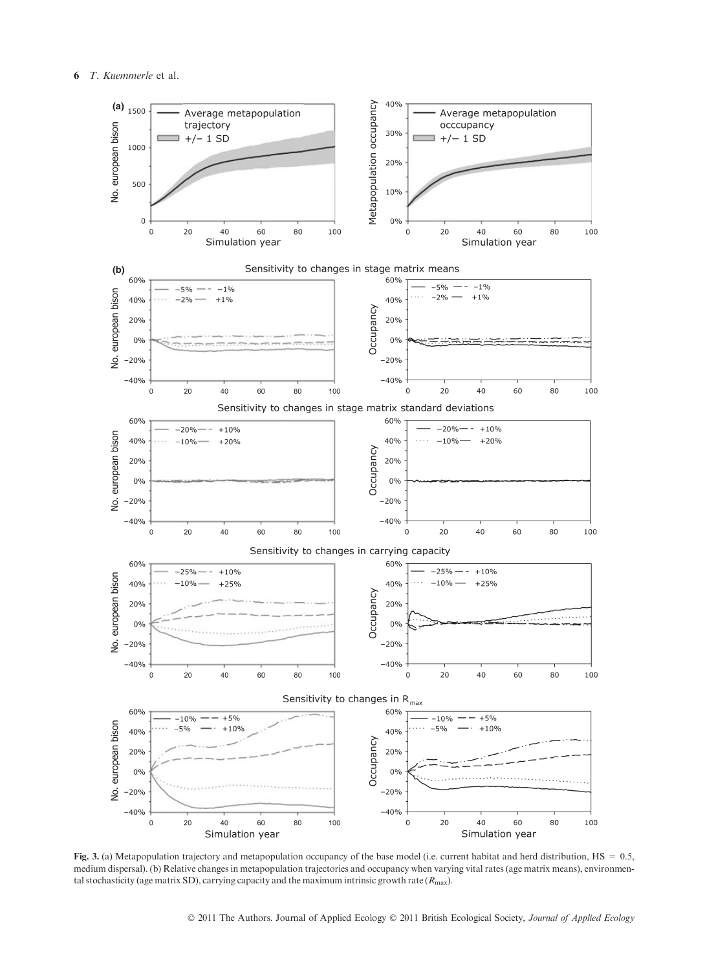

Fig. 3. (a) Metapopulation trajectory and metapopulation occupancy of the base model (i.e. current habitat and herd distribution,  $HS = 0.5$ , medium dispersal). (b) Relative changes in metapopulation trajectories and occupancy when varying vital rates (age matrix means), environmental stochasticity (age matrix SD), carrying capacity and the maximum intrinsic growth rate  $(R_{\text{max}})$ .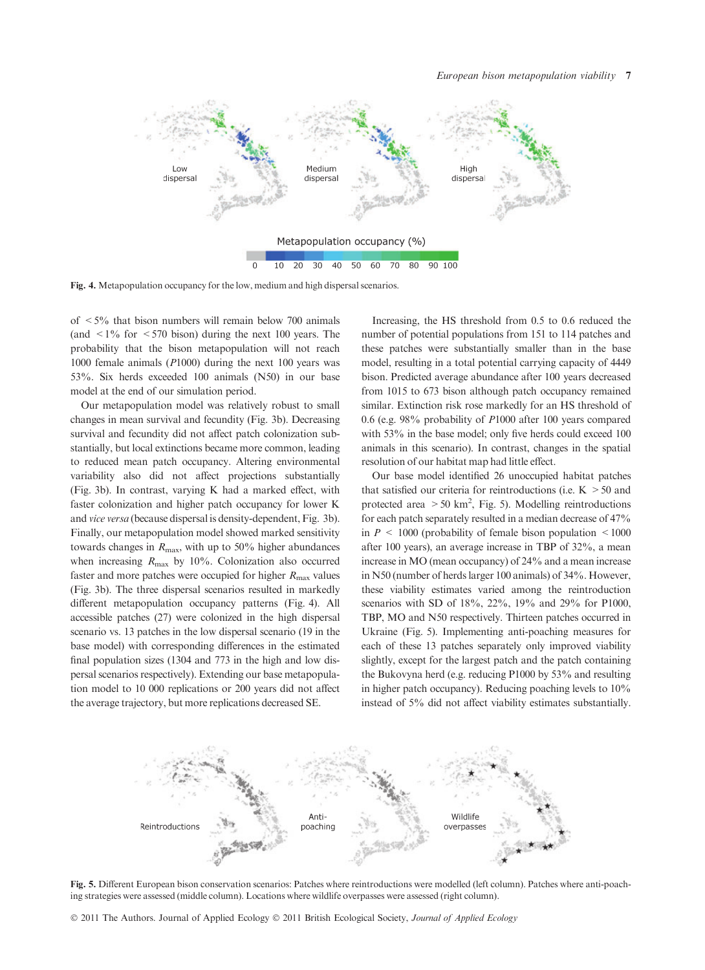European bison metapopulation viability 7



Fig. 4. Metapopulation occupancy for the low, medium and high dispersal scenarios.

of  $\leq 5\%$  that bison numbers will remain below 700 animals (and  $\leq 1\%$  for  $\leq 570$  bison) during the next 100 years. The probability that the bison metapopulation will not reach 1000 female animals (P1000) during the next 100 years was 53%. Six herds exceeded 100 animals (N50) in our base model at the end of our simulation period.

Our metapopulation model was relatively robust to small changes in mean survival and fecundity (Fig. 3b). Decreasing survival and fecundity did not affect patch colonization substantially, but local extinctions became more common, leading to reduced mean patch occupancy. Altering environmental variability also did not affect projections substantially (Fig. 3b). In contrast, varying K had a marked effect, with faster colonization and higher patch occupancy for lower K and vice versa (because dispersal is density-dependent, Fig. 3b). Finally, our metapopulation model showed marked sensitivity towards changes in  $R_{\text{max}}$ , with up to 50% higher abundances when increasing  $R_{\text{max}}$  by 10%. Colonization also occurred faster and more patches were occupied for higher  $R_{\text{max}}$  values (Fig. 3b). The three dispersal scenarios resulted in markedly different metapopulation occupancy patterns (Fig. 4). All accessible patches (27) were colonized in the high dispersal scenario vs. 13 patches in the low dispersal scenario (19 in the base model) with corresponding differences in the estimated final population sizes (1304 and 773 in the high and low dispersal scenarios respectively). Extending our base metapopulation model to 10 000 replications or 200 years did not affect the average trajectory, but more replications decreased SE.

Increasing, the HS threshold from 0.5 to 0.6 reduced the number of potential populations from 151 to 114 patches and these patches were substantially smaller than in the base model, resulting in a total potential carrying capacity of 4449 bison. Predicted average abundance after 100 years decreased from 1015 to 673 bison although patch occupancy remained similar. Extinction risk rose markedly for an HS threshold of 0.6 (e.g. 98% probability of P1000 after 100 years compared with 53% in the base model; only five herds could exceed 100 animals in this scenario). In contrast, changes in the spatial resolution of our habitat map had little effect.

Our base model identified 26 unoccupied habitat patches that satisfied our criteria for reintroductions (i.e.  $K > 50$  and protected area  $> 50 \text{ km}^2$ , Fig. 5). Modelling reintroductions for each patch separately resulted in a median decrease of 47% in  $P \le 1000$  (probability of female bison population  $\le 1000$ after 100 years), an average increase in TBP of 32%, a mean increase in MO (mean occupancy) of 24% and a mean increase in N50 (number of herds larger 100 animals) of 34%. However, these viability estimates varied among the reintroduction scenarios with SD of 18%, 22%, 19% and 29% for P1000, TBP, MO and N50 respectively. Thirteen patches occurred in Ukraine (Fig. 5). Implementing anti-poaching measures for each of these 13 patches separately only improved viability slightly, except for the largest patch and the patch containing the Bukovyna herd (e.g. reducing P1000 by 53% and resulting in higher patch occupancy). Reducing poaching levels to 10% instead of 5% did not affect viability estimates substantially.



Fig. 5. Different European bison conservation scenarios: Patches where reintroductions were modelled (left column). Patches where anti-poaching strategies were assessed (middle column). Locations where wildlife overpasses were assessed (right column).

© 2011 The Authors. Journal of Applied Ecology © 2011 British Ecological Society, Journal of Applied Ecology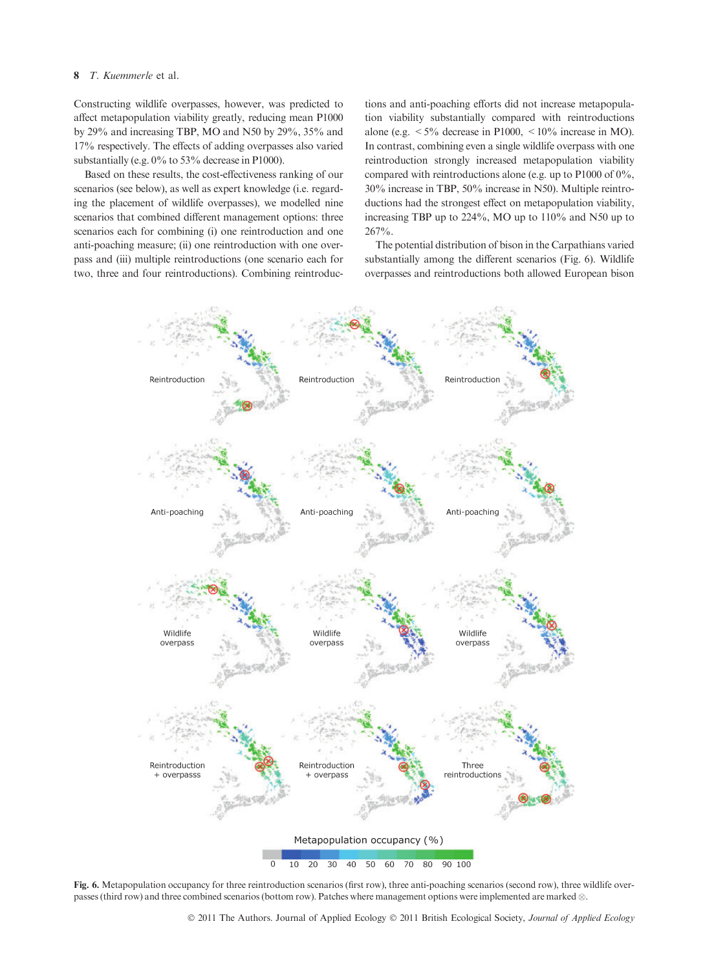Constructing wildlife overpasses, however, was predicted to affect metapopulation viability greatly, reducing mean P1000 by 29% and increasing TBP, MO and N50 by 29%, 35% and 17% respectively. The effects of adding overpasses also varied substantially (e.g. 0% to 53% decrease in P1000).

Based on these results, the cost-effectiveness ranking of our scenarios (see below), as well as expert knowledge (i.e. regarding the placement of wildlife overpasses), we modelled nine scenarios that combined different management options: three scenarios each for combining (i) one reintroduction and one anti-poaching measure; (ii) one reintroduction with one overpass and (iii) multiple reintroductions (one scenario each for two, three and four reintroductions). Combining reintroductions and anti-poaching efforts did not increase metapopulation viability substantially compared with reintroductions alone (e.g.  $\leq 5\%$  decrease in P1000,  $\leq 10\%$  increase in MO). In contrast, combining even a single wildlife overpass with one reintroduction strongly increased metapopulation viability compared with reintroductions alone (e.g. up to P1000 of 0%, 30% increase in TBP, 50% increase in N50). Multiple reintroductions had the strongest effect on metapopulation viability, increasing TBP up to 224%, MO up to 110% and N50 up to 267%.

The potential distribution of bison in the Carpathians varied substantially among the different scenarios (Fig. 6). Wildlife overpasses and reintroductions both allowed European bison



Fig. 6. Metapopulation occupancy for three reintroduction scenarios (first row), three anti-poaching scenarios (second row), three wildlife overpasses (third row) and three combined scenarios (bottom row). Patches where management options were implemented are marked  $\otimes$ .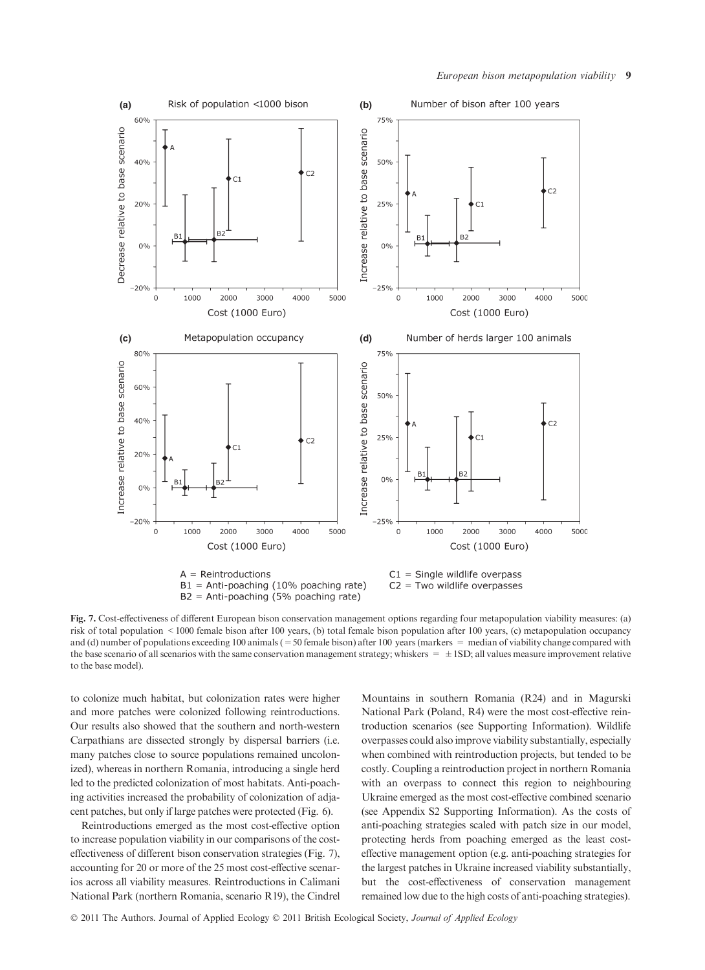

Fig. 7. Cost-effectiveness of different European bison conservation management options regarding four metapopulation viability measures: (a) risk of total population <1000 female bison after 100 years, (b) total female bison population after 100 years, (c) metapopulation occupancy and (d) number of populations exceeding 100 animals (=50 female bison) after 100 years (markers = median of viability change compared with the base scenario of all scenarios with the same conservation management strategy; whiskers  $= \pm 1SD$ ; all values measure improvement relative to the base model).

to colonize much habitat, but colonization rates were higher and more patches were colonized following reintroductions. Our results also showed that the southern and north-western Carpathians are dissected strongly by dispersal barriers (i.e. many patches close to source populations remained uncolonized), whereas in northern Romania, introducing a single herd led to the predicted colonization of most habitats. Anti-poaching activities increased the probability of colonization of adjacent patches, but only if large patches were protected (Fig. 6).

Reintroductions emerged as the most cost-effective option to increase population viability in our comparisons of the costeffectiveness of different bison conservation strategies (Fig. 7), accounting for 20 or more of the 25 most cost-effective scenarios across all viability measures. Reintroductions in Calimani National Park (northern Romania, scenario R19), the Cindrel Mountains in southern Romania (R24) and in Magurski National Park (Poland, R4) were the most cost-effective reintroduction scenarios (see Supporting Information). Wildlife overpasses could also improve viability substantially, especially when combined with reintroduction projects, but tended to be costly. Coupling a reintroduction project in northern Romania with an overpass to connect this region to neighbouring Ukraine emerged as the most cost-effective combined scenario (see Appendix S2 Supporting Information). As the costs of anti-poaching strategies scaled with patch size in our model, protecting herds from poaching emerged as the least costeffective management option (e.g. anti-poaching strategies for the largest patches in Ukraine increased viability substantially, but the cost-effectiveness of conservation management remained low due to the high costs of anti-poaching strategies).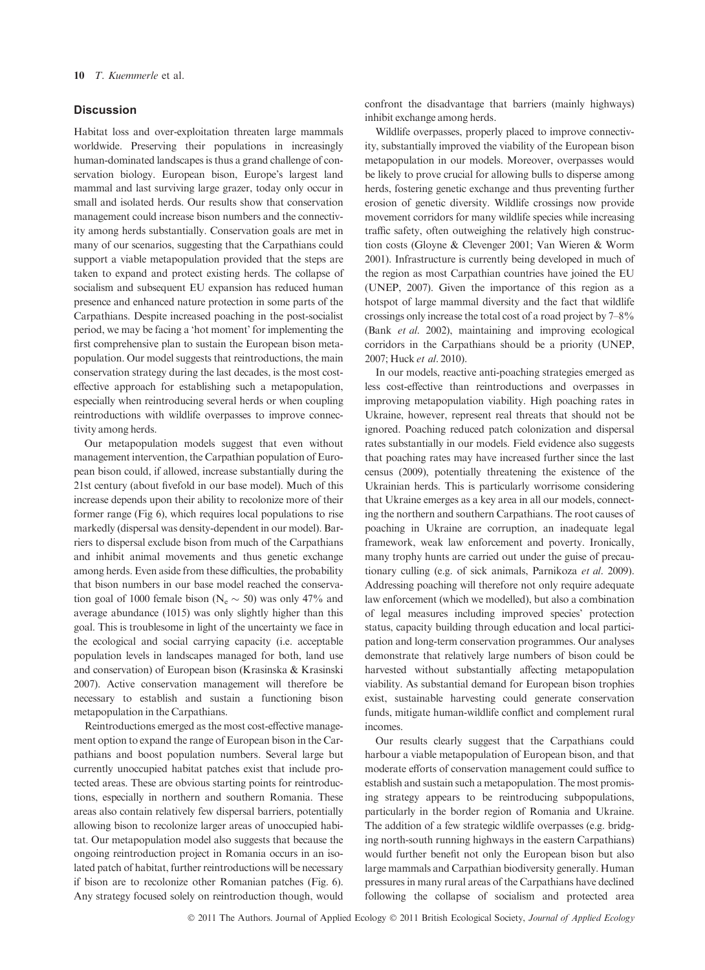## **Discussion**

Habitat loss and over-exploitation threaten large mammals worldwide. Preserving their populations in increasingly human-dominated landscapes is thus a grand challenge of conservation biology. European bison, Europe's largest land mammal and last surviving large grazer, today only occur in small and isolated herds. Our results show that conservation management could increase bison numbers and the connectivity among herds substantially. Conservation goals are met in many of our scenarios, suggesting that the Carpathians could support a viable metapopulation provided that the steps are taken to expand and protect existing herds. The collapse of socialism and subsequent EU expansion has reduced human presence and enhanced nature protection in some parts of the Carpathians. Despite increased poaching in the post-socialist period, we may be facing a 'hot moment' for implementing the first comprehensive plan to sustain the European bison metapopulation. Our model suggests that reintroductions, the main conservation strategy during the last decades, is the most costeffective approach for establishing such a metapopulation, especially when reintroducing several herds or when coupling reintroductions with wildlife overpasses to improve connectivity among herds.

Our metapopulation models suggest that even without management intervention, the Carpathian population of European bison could, if allowed, increase substantially during the 21st century (about fivefold in our base model). Much of this increase depends upon their ability to recolonize more of their former range (Fig 6), which requires local populations to rise markedly (dispersal was density-dependent in our model). Barriers to dispersal exclude bison from much of the Carpathians and inhibit animal movements and thus genetic exchange among herds. Even aside from these difficulties, the probability that bison numbers in our base model reached the conservation goal of 1000 female bison ( $N_e \sim 50$ ) was only 47% and average abundance (1015) was only slightly higher than this goal. This is troublesome in light of the uncertainty we face in the ecological and social carrying capacity (i.e. acceptable population levels in landscapes managed for both, land use and conservation) of European bison (Krasinska & Krasinski 2007). Active conservation management will therefore be necessary to establish and sustain a functioning bison metapopulation in the Carpathians.

Reintroductions emerged as the most cost-effective management option to expand the range of European bison in the Carpathians and boost population numbers. Several large but currently unoccupied habitat patches exist that include protected areas. These are obvious starting points for reintroductions, especially in northern and southern Romania. These areas also contain relatively few dispersal barriers, potentially allowing bison to recolonize larger areas of unoccupied habitat. Our metapopulation model also suggests that because the ongoing reintroduction project in Romania occurs in an isolated patch of habitat, further reintroductions will be necessary if bison are to recolonize other Romanian patches (Fig. 6). Any strategy focused solely on reintroduction though, would confront the disadvantage that barriers (mainly highways) inhibit exchange among herds.

Wildlife overpasses, properly placed to improve connectivity, substantially improved the viability of the European bison metapopulation in our models. Moreover, overpasses would be likely to prove crucial for allowing bulls to disperse among herds, fostering genetic exchange and thus preventing further erosion of genetic diversity. Wildlife crossings now provide movement corridors for many wildlife species while increasing traffic safety, often outweighing the relatively high construction costs (Gloyne & Clevenger 2001; Van Wieren & Worm 2001). Infrastructure is currently being developed in much of the region as most Carpathian countries have joined the EU (UNEP, 2007). Given the importance of this region as a hotspot of large mammal diversity and the fact that wildlife crossings only increase the total cost of a road project by 7–8% (Bank et al. 2002), maintaining and improving ecological corridors in the Carpathians should be a priority (UNEP, 2007; Huck et al. 2010).

In our models, reactive anti-poaching strategies emerged as less cost-effective than reintroductions and overpasses in improving metapopulation viability. High poaching rates in Ukraine, however, represent real threats that should not be ignored. Poaching reduced patch colonization and dispersal rates substantially in our models. Field evidence also suggests that poaching rates may have increased further since the last census (2009), potentially threatening the existence of the Ukrainian herds. This is particularly worrisome considering that Ukraine emerges as a key area in all our models, connecting the northern and southern Carpathians. The root causes of poaching in Ukraine are corruption, an inadequate legal framework, weak law enforcement and poverty. Ironically, many trophy hunts are carried out under the guise of precautionary culling (e.g. of sick animals, Parnikoza et al. 2009). Addressing poaching will therefore not only require adequate law enforcement (which we modelled), but also a combination of legal measures including improved species' protection status, capacity building through education and local participation and long-term conservation programmes. Our analyses demonstrate that relatively large numbers of bison could be harvested without substantially affecting metapopulation viability. As substantial demand for European bison trophies exist, sustainable harvesting could generate conservation funds, mitigate human-wildlife conflict and complement rural incomes.

Our results clearly suggest that the Carpathians could harbour a viable metapopulation of European bison, and that moderate efforts of conservation management could suffice to establish and sustain such a metapopulation. The most promising strategy appears to be reintroducing subpopulations, particularly in the border region of Romania and Ukraine. The addition of a few strategic wildlife overpasses (e.g. bridging north-south running highways in the eastern Carpathians) would further benefit not only the European bison but also large mammals and Carpathian biodiversity generally. Human pressures in many rural areas of the Carpathians have declined following the collapse of socialism and protected area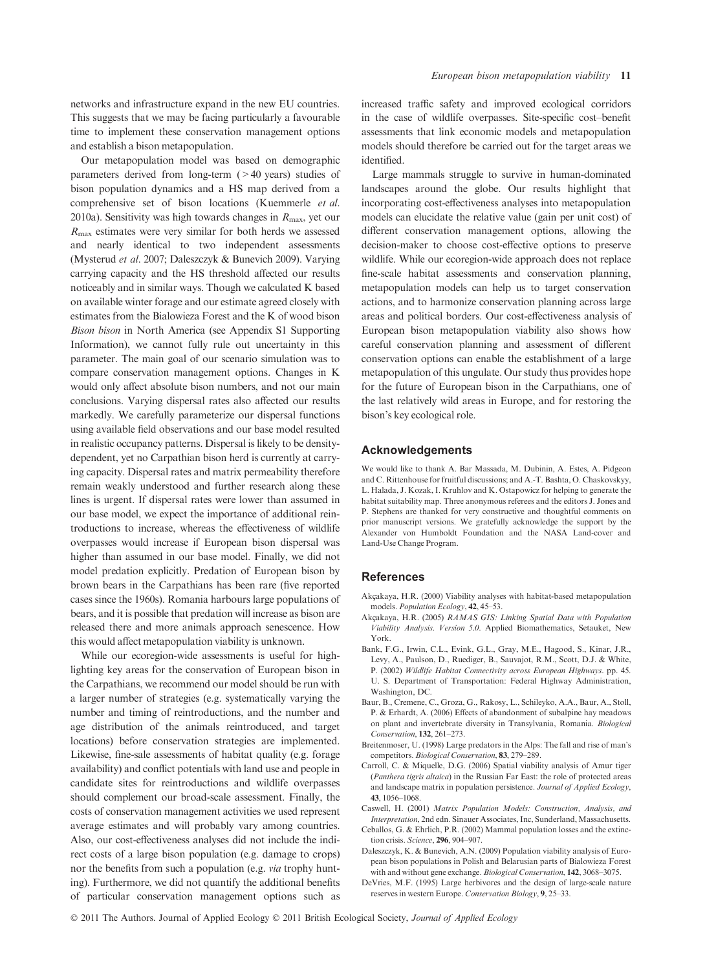networks and infrastructure expand in the new EU countries. This suggests that we may be facing particularly a favourable time to implement these conservation management options and establish a bison metapopulation.

Our metapopulation model was based on demographic parameters derived from long-term (>40 years) studies of bison population dynamics and a HS map derived from a comprehensive set of bison locations (Kuemmerle et al. 2010a). Sensitivity was high towards changes in  $R_{\text{max}}$ , yet our  $R_{\text{max}}$  estimates were very similar for both herds we assessed and nearly identical to two independent assessments (Mysterud et al. 2007; Daleszczyk & Bunevich 2009). Varying carrying capacity and the HS threshold affected our results noticeably and in similar ways. Though we calculated K based on available winter forage and our estimate agreed closely with estimates from the Bialowieza Forest and the K of wood bison Bison bison in North America (see Appendix S1 Supporting Information), we cannot fully rule out uncertainty in this parameter. The main goal of our scenario simulation was to compare conservation management options. Changes in K would only affect absolute bison numbers, and not our main conclusions. Varying dispersal rates also affected our results markedly. We carefully parameterize our dispersal functions using available field observations and our base model resulted in realistic occupancy patterns. Dispersal is likely to be densitydependent, yet no Carpathian bison herd is currently at carrying capacity. Dispersal rates and matrix permeability therefore remain weakly understood and further research along these lines is urgent. If dispersal rates were lower than assumed in our base model, we expect the importance of additional reintroductions to increase, whereas the effectiveness of wildlife overpasses would increase if European bison dispersal was higher than assumed in our base model. Finally, we did not model predation explicitly. Predation of European bison by brown bears in the Carpathians has been rare (five reported cases since the 1960s). Romania harbours large populations of bears, and it is possible that predation will increase as bison are released there and more animals approach senescence. How this would affect metapopulation viability is unknown.

While our ecoregion-wide assessments is useful for highlighting key areas for the conservation of European bison in the Carpathians, we recommend our model should be run with a larger number of strategies (e.g. systematically varying the number and timing of reintroductions, and the number and age distribution of the animals reintroduced, and target locations) before conservation strategies are implemented. Likewise, fine-sale assessments of habitat quality (e.g. forage availability) and conflict potentials with land use and people in candidate sites for reintroductions and wildlife overpasses should complement our broad-scale assessment. Finally, the costs of conservation management activities we used represent average estimates and will probably vary among countries. Also, our cost-effectiveness analyses did not include the indirect costs of a large bison population (e.g. damage to crops) nor the benefits from such a population (e.g. via trophy hunting). Furthermore, we did not quantify the additional benefits of particular conservation management options such as increased traffic safety and improved ecological corridors in the case of wildlife overpasses. Site-specific cost–benefit assessments that link economic models and metapopulation models should therefore be carried out for the target areas we identified.

Large mammals struggle to survive in human-dominated landscapes around the globe. Our results highlight that incorporating cost-effectiveness analyses into metapopulation models can elucidate the relative value (gain per unit cost) of different conservation management options, allowing the decision-maker to choose cost-effective options to preserve wildlife. While our ecoregion-wide approach does not replace fine-scale habitat assessments and conservation planning, metapopulation models can help us to target conservation actions, and to harmonize conservation planning across large areas and political borders. Our cost-effectiveness analysis of European bison metapopulation viability also shows how careful conservation planning and assessment of different conservation options can enable the establishment of a large metapopulation of this ungulate. Our study thus provides hope for the future of European bison in the Carpathians, one of the last relatively wild areas in Europe, and for restoring the bison's key ecological role.

## Acknowledgements

We would like to thank A. Bar Massada, M. Dubinin, A. Estes, A. Pidgeon and C. Rittenhouse for fruitful discussions; and A.-T. Bashta, O. Chaskovskyy, L. Halada, J. Kozak, I. Kruhlov and K. Ostapowicz for helping to generate the habitat suitability map. Three anonymous referees and the editors J. Jones and P. Stephens are thanked for very constructive and thoughtful comments on prior manuscript versions. We gratefully acknowledge the support by the Alexander von Humboldt Foundation and the NASA Land-cover and Land-Use Change Program.

## References

- Akçakaya, H.R. (2000) Viability analyses with habitat-based metapopulation models. Population Ecology, 42, 45–53.
- Akçakaya, H.R. (2005) RAMAS GIS: Linking Spatial Data with Population Viability Analysis. Version 5.0. Applied Biomathematics, Setauket, New York.
- Bank, F.G., Irwin, C.L., Evink, G.L., Gray, M.E., Hagood, S., Kinar, J.R., Levy, A., Paulson, D., Ruediger, B., Sauvajot, R.M., Scott, D.J. & White, P. (2002) Wildlife Habitat Connectivity across European Highways. pp. 45. U. S. Department of Transportation: Federal Highway Administration, Washington, DC.
- Baur, B., Cremene, C., Groza, G., Rakosy, L., Schileyko, A.A., Baur, A., Stoll, P. & Erhardt, A. (2006) Effects of abandonment of subalpine hay meadows on plant and invertebrate diversity in Transylvania, Romania. Biological Conservation, 132, 261–273.
- Breitenmoser, U. (1998) Large predators in the Alps: The fall and rise of man's competitors. Biological Conservation, 83, 279–289.
- Carroll, C. & Miquelle, D.G. (2006) Spatial viability analysis of Amur tiger (Panthera tigris altaica) in the Russian Far East: the role of protected areas and landscape matrix in population persistence. Journal of Applied Ecology, 43, 1056–1068.
- Caswell, H. (2001) Matrix Population Models: Construction, Analysis, and Interpretation, 2nd edn. Sinauer Associates, Inc, Sunderland, Massachusetts.
- Ceballos, G. & Ehrlich, P.R. (2002) Mammal population losses and the extinction crisis. Science, 296, 904–907.
- Daleszczyk, K. & Bunevich, A.N. (2009) Population viability analysis of European bison populations in Polish and Belarusian parts of Bialowieza Forest with and without gene exchange. Biological Conservation, 142, 3068-3075.
- DeVries, M.F. (1995) Large herbivores and the design of large-scale nature reserves in western Europe. Conservation Biology, 9, 25–33.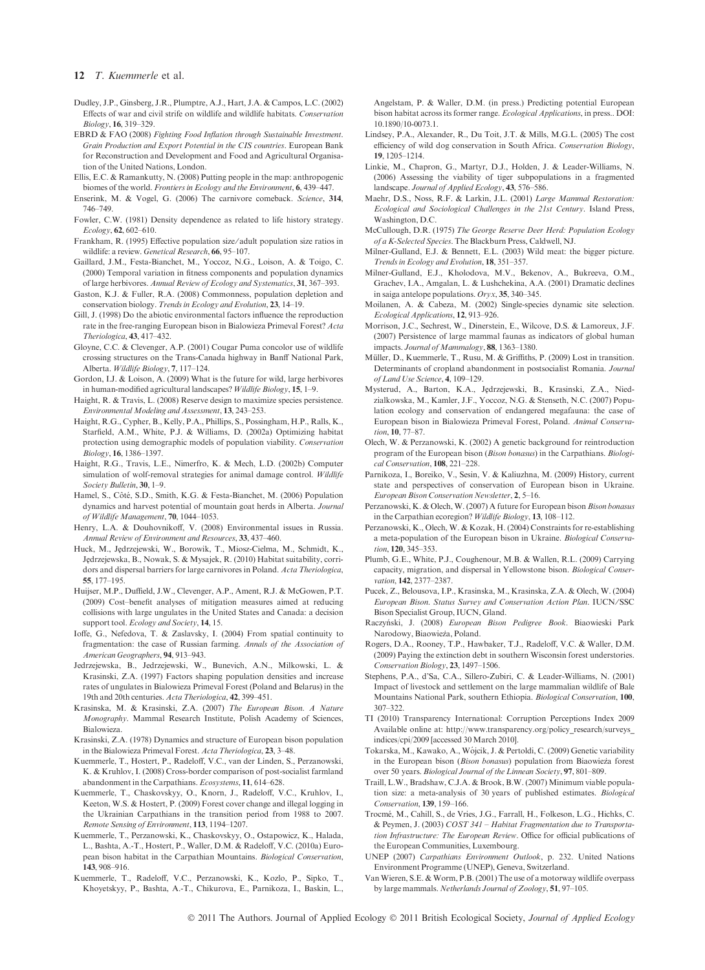- Dudley, J.P., Ginsberg, J.R., Plumptre, A.J., Hart, J.A. & Campos, L.C. (2002) Effects of war and civil strife on wildlife and wildlife habitats. Conservation Biology, 16, 319–329.
- EBRD & FAO (2008) Fighting Food Inflation through Sustainable Investment. Grain Production and Export Potential in the CIS countries. European Bank for Reconstruction and Development and Food and Agricultural Organisation of the United Nations, London.
- Ellis, E.C. & Ramankutty, N. (2008) Putting people in the map: anthropogenic biomes of the world. Frontiers in Ecology and the Environment, 6, 439–447.
- Enserink, M. & Vogel, G. (2006) The carnivore comeback. Science, 314, 746–749.
- Fowler, C.W. (1981) Density dependence as related to life history strategy. Ecology, 62, 602–610.
- Frankham, R. (1995) Effective population size ⁄ adult population size ratios in wildlife: a review. Genetical Research, 66, 95–107.
- Gaillard, J.M., Festa-Bianchet, M., Yoccoz, N.G., Loison, A. & Toigo, C. (2000) Temporal variation in fitness components and population dynamics of large herbivores. Annual Review of Ecology and Systematics, 31, 367–393.
- Gaston, K.J. & Fuller, R.A. (2008) Commonness, population depletion and conservation biology. Trends in Ecology and Evolution, 23, 14–19.
- Gill, J. (1998) Do the abiotic environmental factors influence the reproduction rate in the free-ranging European bison in Bialowieza Primeval Forest? Acta Theriologica, 43, 417–432.
- Gloyne, C.C. & Clevenger, A.P. (2001) Cougar Puma concolor use of wildlife crossing structures on the Trans-Canada highway in Banff National Park, Alberta. Wildlife Biology, 7, 117–124.
- Gordon, I.J. & Loison, A. (2009) What is the future for wild, large herbivores in human-modified agricultural landscapes? Wildlife Biology, 15, 1–9.
- Haight, R. & Travis, L. (2008) Reserve design to maximize species persistence. Environmental Modeling and Assessment, 13, 243–253.
- Haight, R.G., Cypher, B., Kelly, P.A., Phillips, S., Possingham, H.P., Ralls, K., Starfield, A.M., White, P.J. & Williams, D. (2002a) Optimizing habitat protection using demographic models of population viability. Conservation Biology, 16, 1386–1397.
- Haight, R.G., Travis, L.E., Nimerfro, K. & Mech, L.D. (2002b) Computer simulation of wolf-removal strategies for animal damage control. Wildlife Society Bulletin, 30, 1–9.
- Hamel, S., Côté, S.D., Smith, K.G. & Festa-Bianchet, M. (2006) Population dynamics and harvest potential of mountain goat herds in Alberta. Journal of Wildlife Management, 70, 1044–1053.
- Henry, L.A. & Douhovnikoff, V. (2008) Environmental issues in Russia. Annual Review of Environment and Resources, 33, 437–460.
- Huck, M., Jędrzejewski, W., Borowik, T., Miosz-Cielma, M., Schmidt, K., Jędrzejewska, B., Nowak, S. & Mysajek, R. (2010) Habitat suitability, corridors and dispersal barriers for large carnivores in Poland. Acta Theriologica, 55, 177–195.
- Huijser, M.P., Duffield, J.W., Clevenger, A.P., Ament, R.J. & McGowen, P.T. (2009) Cost–benefit analyses of mitigation measures aimed at reducing collisions with large ungulates in the United States and Canada: a decision support tool. Ecology and Society, 14, 15.
- Ioffe, G., Nefedova, T. & Zaslavsky, I. (2004) From spatial continuity to fragmentation: the case of Russian farming. Annals of the Association of American Geographers, 94, 913–943.
- Jedrzejewska, B., Jedrzejewski, W., Bunevich, A.N., Milkowski, L. & Krasinski, Z.A. (1997) Factors shaping population densities and increase rates of ungulates in Bialowieza Primeval Forest (Poland and Belarus) in the 19th and 20th centuries. Acta Theriologica, 42, 399–451.
- Krasinska, M. & Krasinski, Z.A. (2007) The European Bison. A Nature Monography. Mammal Research Institute, Polish Academy of Sciences, Bialowieza.
- Krasinski, Z.A. (1978) Dynamics and structure of European bison population in the Bialowieza Primeval Forest. Acta Theriologica, 23, 3–48.
- Kuemmerle, T., Hostert, P., Radeloff, V.C., van der Linden, S., Perzanowski, K. & Kruhlov, I. (2008) Cross-border comparison of post-socialist farmland abandonment in the Carpathians. Ecosystems, 11, 614–628.
- Kuemmerle, T., Chaskovskyy, O., Knorn, J., Radeloff, V.C., Kruhlov, I., Keeton, W.S. & Hostert, P. (2009) Forest cover change and illegal logging in the Ukrainian Carpathians in the transition period from 1988 to 2007. Remote Sensing of Environment, 113, 1194–1207.
- Kuemmerle, T., Perzanowski, K., Chaskovskyy, O., Ostapowicz, K., Halada, L., Bashta, A.-T., Hostert, P., Waller, D.M. & Radeloff, V.C. (2010a) European bison habitat in the Carpathian Mountains. Biological Conservation, 143, 908–916.
- Kuemmerle, T., Radeloff, V.C., Perzanowski, K., Kozlo, P., Sipko, T., Khoyetskyy, P., Bashta, A.-T., Chikurova, E., Parnikoza, I., Baskin, L.,

Angelstam, P. & Waller, D.M. (in press.) Predicting potential European bison habitat across its former range. Ecological Applications, in press.. DOI: 10.1890/10-0073.1.

- Lindsey, P.A., Alexander, R., Du Toit, J.T. & Mills, M.G.L. (2005) The cost efficiency of wild dog conservation in South Africa. Conservation Biology, 19, 1205–1214.
- Linkie, M., Chapron, G., Martyr, D.J., Holden, J. & Leader-Williams, N. (2006) Assessing the viability of tiger subpopulations in a fragmented landscape. Journal of Applied Ecology, 43, 576–586.
- Maehr, D.S., Noss, R.F. & Larkin, J.L. (2001) Large Mammal Restoration: Ecological and Sociological Challenges in the 21st Century. Island Press, Washington, D.C.
- McCullough, D.R. (1975) The George Reserve Deer Herd: Population Ecology of a K-Selected Species. The Blackburn Press, Caldwell, NJ.
- Milner-Gulland, E.J. & Bennett, E.L. (2003) Wild meat: the bigger picture. Trends in Ecology and Evolution, 18, 351–357.
- Milner-Gulland, E.J., Kholodova, M.V., Bekenov, A., Bukreeva, O.M., Grachev, I.A., Amgalan, L. & Lushchekina, A.A. (2001) Dramatic declines in saiga antelope populations. Oryx, 35, 340–345.
- Moilanen, A. & Cabeza, M. (2002) Single-species dynamic site selection. Ecological Applications, 12, 913–926.
- Morrison, J.C., Sechrest, W., Dinerstein, E., Wilcove, D.S. & Lamoreux, J.F. (2007) Persistence of large mammal faunas as indicators of global human impacts. Journal of Mammalogy, 88, 1363–1380.
- Müller, D., Kuemmerle, T., Rusu, M. & Griffiths, P. (2009) Lost in transition. Determinants of cropland abandonment in postsocialist Romania. Journal of Land Use Science, 4, 109–129.
- Mysterud, A., Barton, K.A., Je˛drzejewski, B., Krasinski, Z.A., Niedzialkowska, M., Kamler, J.F., Yoccoz, N.G. & Stenseth, N.C. (2007) Population ecology and conservation of endangered megafauna: the case of European bison in Bialowieza Primeval Forest, Poland. Animal Conservation, 10, 77–87.
- Olech, W. & Perzanowski, K. (2002) A genetic background for reintroduction program of the European bison (Bison bonasus) in the Carpathians. Biological Conservation, 108, 221–228.
- Parnikoza, I., Boreiko, V., Sesin, V. & Kaliuzhna, M. (2009) History, current state and perspectives of conservation of European bison in Ukraine. European Bison Conservation Newsletter, 2, 5–16.
- Perzanowski, K. & Olech, W. (2007) A future for European bison Bison bonasus in the Carpathian ecoregion? Wildlife Biology, 13, 108–112.
- Perzanowski, K., Olech, W. & Kozak, H. (2004) Constraints for re-establishing a meta-population of the European bison in Ukraine. Biological Conservation, 120, 345-353.
- Plumb, G.E., White, P.J., Coughenour, M.B. & Wallen, R.L. (2009) Carrying capacity, migration, and dispersal in Yellowstone bison. Biological Conservation, 142, 2377–2387.
- Pucek, Z., Belousova, I.P., Krasinska, M., Krasinska, Z.A. & Olech, W. (2004) European Bison. Status Survey and Conservation Action Plan. IUCN/SSC Bison Specialist Group, IUCN, Gland.
- Raczyński, J. (2008) European Bison Pedigree Book. Biaowieski Park Narodowy, Biaowieza, Poland. \_
- Rogers, D.A., Rooney, T.P., Hawbaker, T.J., Radeloff, V.C. & Waller, D.M. (2009) Paying the extinction debt in southern Wisconsin forest understories. Conservation Biology, 23, 1497–1506.
- Stephens, P.A., d'Sa, C.A., Sillero-Zubiri, C. & Leader-Williams, N. (2001) Impact of livestock and settlement on the large mammalian wildlife of Bale Mountains National Park, southern Ethiopia. Biological Conservation, 100, 307–322.
- TI (2010) Transparency International: Corruption Perceptions Index 2009 Available online at: http://www.transparency.org/policy\_research/surveys\_ indices/cpi/2009 [accessed 30 March 2010].
- Tokarska, M., Kawako, A., Wójcik, J. & Pertoldi, C. (2009) Genetic variability in the European bison (Bison bonasus) population from Biaowieża forest over 50 years. Biological Journal of the Linnean Society, 97, 801–809.
- Traill, L.W., Bradshaw, C.J.A. & Brook, B.W. (2007) Minimum viable population size: a meta-analysis of 30 years of published estimates. Biological Conservation, 139, 159–166.
- Trocmé, M., Cahill, S., de Vries, J.G., Farrall, H., Folkeson, L.G., Hichks, C. & Peymen, J. (2003) COST 341 – Habitat Fragmentation due to Transportation Infrastructure: The European Review. Office for official publications of the European Communities, Luxembourg.
- UNEP (2007) Carpathians Environment Outlook, p. 232. United Nations Environment Programme (UNEP), Geneva, Switzerland.
- VanWieren, S.E. & Worm, P.B. (2001) The use of a motorway wildlife overpass by large mammals. Netherlands Journal of Zoology, 51, 97–105.